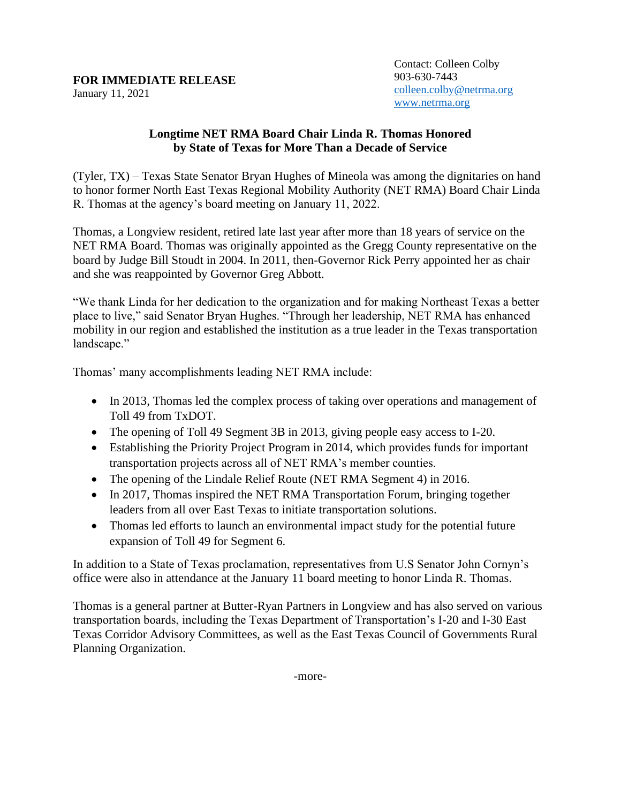## **FOR IMMEDIATE RELEASE**

January 11, 2021

## **Longtime NET RMA Board Chair Linda R. Thomas Honored by State of Texas for More Than a Decade of Service**

(Tyler, TX) – Texas State Senator Bryan Hughes of Mineola was among the dignitaries on hand to honor former North East Texas Regional Mobility Authority (NET RMA) Board Chair Linda R. Thomas at the agency's board meeting on January 11, 2022.

Thomas, a Longview resident, retired late last year after more than 18 years of service on the NET RMA Board. Thomas was originally appointed as the Gregg County representative on the board by Judge Bill Stoudt in 2004. In 2011, then-Governor Rick Perry appointed her as chair and she was reappointed by Governor Greg Abbott.

"We thank Linda for her dedication to the organization and for making Northeast Texas a better place to live," said Senator Bryan Hughes. "Through her leadership, NET RMA has enhanced mobility in our region and established the institution as a true leader in the Texas transportation landscape."

Thomas' many accomplishments leading NET RMA include:

- In 2013, Thomas led the complex process of taking over operations and management of Toll 49 from TxDOT.
- The opening of Toll 49 Segment 3B in 2013, giving people easy access to I-20.
- Establishing the Priority Project Program in 2014, which provides funds for important transportation projects across all of NET RMA's member counties.
- The opening of the Lindale Relief Route (NET RMA Segment 4) in 2016.
- In 2017, Thomas inspired the NET RMA Transportation Forum, bringing together leaders from all over East Texas to initiate transportation solutions.
- Thomas led efforts to launch an environmental impact study for the potential future expansion of Toll 49 for Segment 6.

In addition to a State of Texas proclamation, representatives from U.S Senator John Cornyn's office were also in attendance at the January 11 board meeting to honor Linda R. Thomas.

Thomas is a general partner at Butter-Ryan Partners in Longview and has also served on various transportation boards, including the Texas Department of Transportation's I-20 and I-30 East Texas Corridor Advisory Committees, as well as the East Texas Council of Governments Rural Planning Organization.

-more-